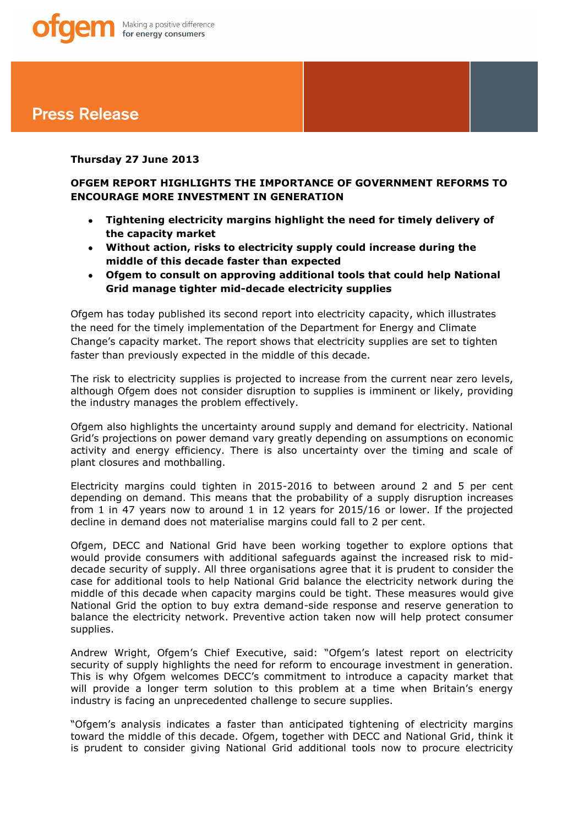# **Press Release**

# **Thursday 27 June 2013**

# **OFGEM REPORT HIGHLIGHTS THE IMPORTANCE OF GOVERNMENT REFORMS TO ENCOURAGE MORE INVESTMENT IN GENERATION**

- **Tightening electricity margins highlight the need for timely delivery of**   $\bullet$ **the capacity market**
- **Without action, risks to electricity supply could increase during the middle of this decade faster than expected**
- **Ofgem to consult on approving additional tools that could help National Grid manage tighter mid-decade electricity supplies**

Ofgem has today published its second report into electricity capacity, which illustrates the need for the timely implementation of the Department for Energy and Climate Change's capacity market. The report shows that electricity supplies are set to tighten faster than previously expected in the middle of this decade.

The risk to electricity supplies is projected to increase from the current near zero levels, although Ofgem does not consider disruption to supplies is imminent or likely, providing the industry manages the problem effectively.

Ofgem also highlights the uncertainty around supply and demand for electricity. National Grid's projections on power demand vary greatly depending on assumptions on economic activity and energy efficiency. There is also uncertainty over the timing and scale of plant closures and mothballing.

Electricity margins could tighten in 2015-2016 to between around 2 and 5 per cent depending on demand. This means that the probability of a supply disruption increases from 1 in 47 years now to around 1 in 12 years for 2015/16 or lower. If the projected decline in demand does not materialise margins could fall to 2 per cent.

Ofgem, DECC and National Grid have been working together to explore options that would provide consumers with additional safeguards against the increased risk to middecade security of supply. All three organisations agree that it is prudent to consider the case for additional tools to help National Grid balance the electricity network during the middle of this decade when capacity margins could be tight. These measures would give National Grid the option to buy extra demand-side response and reserve generation to balance the electricity network. Preventive action taken now will help protect consumer supplies.

Andrew Wright, Ofgem's Chief Executive, said: "Ofgem's latest report on electricity security of supply highlights the need for reform to encourage investment in generation. This is why Ofgem welcomes DECC's commitment to introduce a capacity market that will provide a longer term solution to this problem at a time when Britain's energy industry is facing an unprecedented challenge to secure supplies.

"Ofgem's analysis indicates a faster than anticipated tightening of electricity margins toward the middle of this decade. Ofgem, together with DECC and National Grid, think it is prudent to consider giving National Grid additional tools now to procure electricity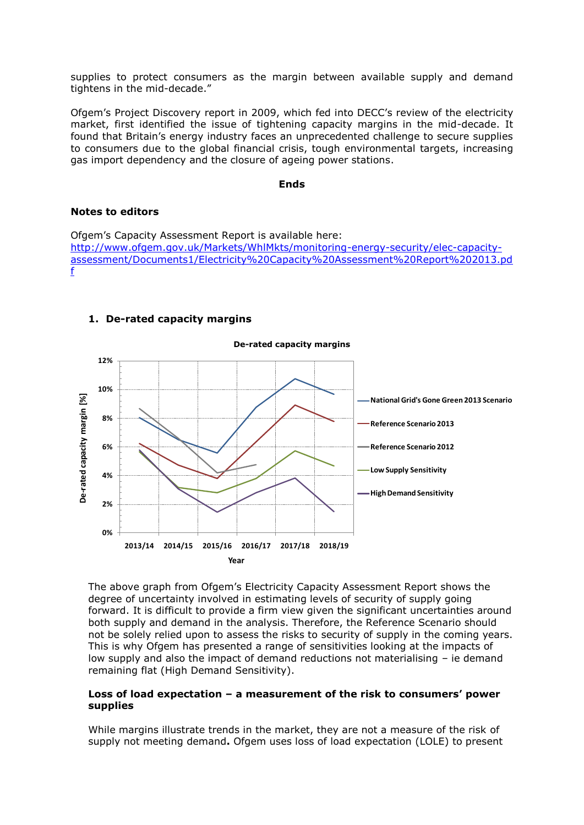supplies to protect consumers as the margin between available supply and demand tightens in the mid-decade."

Ofgem's Project Discovery report in 2009, which fed into DECC's review of the electricity market, first identified the issue of tightening capacity margins in the mid-decade. It found that Britain's energy industry faces an unprecedented challenge to secure supplies to consumers due to the global financial crisis, tough environmental targets, increasing gas import dependency and the closure of ageing power stations.

#### **Ends**

#### **Notes to editors**

Ofgem's Capacity Assessment Report is available here: [http://www.ofgem.gov.uk/Markets/WhlMkts/monitoring-energy-security/elec-capacity](http://www.ofgem.gov.uk/Markets/WhlMkts/monitoring-energy-security/elec-capacity-assessment/Documents1/Electricity%20Capacity%20Assessment%20Report%202013.pdf)[assessment/Documents1/Electricity%20Capacity%20Assessment%20Report%202013.pd](http://www.ofgem.gov.uk/Markets/WhlMkts/monitoring-energy-security/elec-capacity-assessment/Documents1/Electricity%20Capacity%20Assessment%20Report%202013.pdf) [f](http://www.ofgem.gov.uk/Markets/WhlMkts/monitoring-energy-security/elec-capacity-assessment/Documents1/Electricity%20Capacity%20Assessment%20Report%202013.pdf)



#### **1. De-rated capacity margins**

The above graph from Ofgem's Electricity Capacity Assessment Report shows the degree of uncertainty involved in estimating levels of security of supply going forward. It is difficult to provide a firm view given the significant uncertainties around both supply and demand in the analysis. Therefore, the Reference Scenario should not be solely relied upon to assess the risks to security of supply in the coming years. This is why Ofgem has presented a range of sensitivities looking at the impacts of low supply and also the impact of demand reductions not materialising – ie demand remaining flat (High Demand Sensitivity).

### **Loss of load expectation – a measurement of the risk to consumers' power supplies**

While margins illustrate trends in the market, they are not a measure of the risk of supply not meeting demand**.** Ofgem uses loss of load expectation (LOLE) to present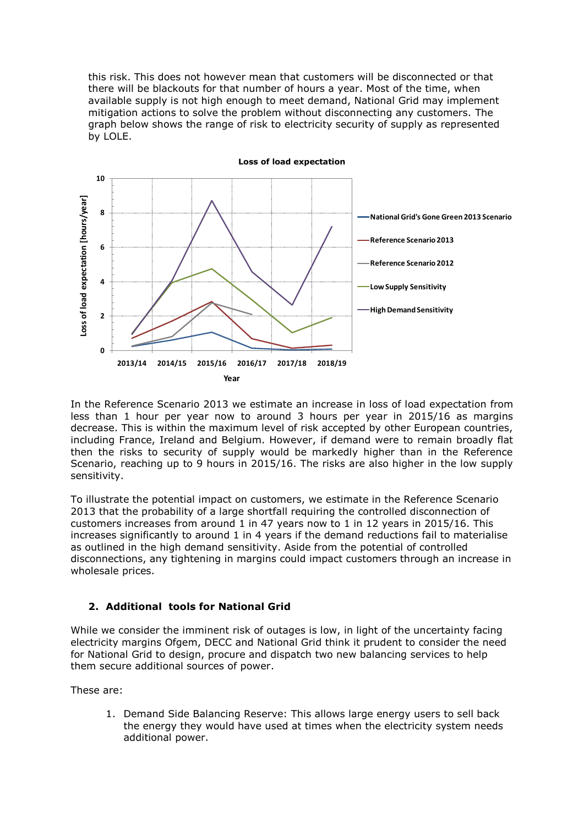this risk. This does not however mean that customers will be disconnected or that there will be blackouts for that number of hours a year. Most of the time, when available supply is not high enough to meet demand, National Grid may implement mitigation actions to solve the problem without disconnecting any customers. The graph below shows the range of risk to electricity security of supply as represented by LOLE.



In the Reference Scenario 2013 we estimate an increase in loss of load expectation from less than 1 hour per year now to around 3 hours per year in 2015/16 as margins decrease. This is within the maximum level of risk accepted by other European countries, including France, Ireland and Belgium. However, if demand were to remain broadly flat then the risks to security of supply would be markedly higher than in the Reference Scenario, reaching up to 9 hours in 2015/16. The risks are also higher in the low supply sensitivity.

To illustrate the potential impact on customers, we estimate in the Reference Scenario 2013 that the probability of a large shortfall requiring the controlled disconnection of customers increases from around 1 in 47 years now to 1 in 12 years in 2015/16. This increases significantly to around 1 in 4 years if the demand reductions fail to materialise as outlined in the high demand sensitivity. Aside from the potential of controlled disconnections, any tightening in margins could impact customers through an increase in wholesale prices.

# **2. Additional tools for National Grid**

While we consider the imminent risk of outages is low, in light of the uncertainty facing electricity margins Ofgem, DECC and National Grid think it prudent to consider the need for National Grid to design, procure and dispatch two new balancing services to help them secure additional sources of power.

These are:

1. Demand Side Balancing Reserve: This allows large energy users to sell back the energy they would have used at times when the electricity system needs additional power.